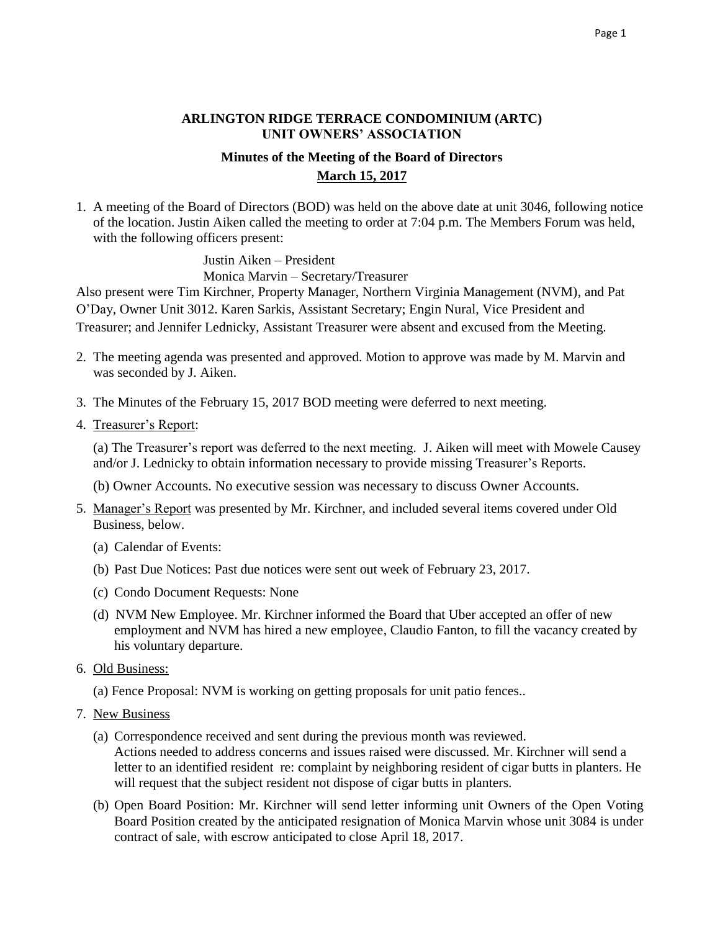## **ARLINGTON RIDGE TERRACE CONDOMINIUM (ARTC) UNIT OWNERS' ASSOCIATION**

## **Minutes of the Meeting of the Board of Directors March 15, 2017**

1. A meeting of the Board of Directors (BOD) was held on the above date at unit 3046, following notice of the location. Justin Aiken called the meeting to order at 7:04 p.m. The Members Forum was held, with the following officers present:

> Justin Aiken – President Monica Marvin – Secretary/Treasurer

Also present were Tim Kirchner, Property Manager, Northern Virginia Management (NVM), and Pat O'Day, Owner Unit 3012. Karen Sarkis, Assistant Secretary; Engin Nural, Vice President and Treasurer; and Jennifer Lednicky, Assistant Treasurer were absent and excused from the Meeting.

- 2. The meeting agenda was presented and approved. Motion to approve was made by M. Marvin and was seconded by J. Aiken.
- 3. The Minutes of the February 15, 2017 BOD meeting were deferred to next meeting.
- 4. Treasurer's Report:

 (a) The Treasurer's report was deferred to the next meeting. J. Aiken will meet with Mowele Causey and/or J. Lednicky to obtain information necessary to provide missing Treasurer's Reports.

(b) Owner Accounts. No executive session was necessary to discuss Owner Accounts.

- 5. Manager's Report was presented by Mr. Kirchner, and included several items covered under Old Business, below.
	- (a) Calendar of Events:
	- (b) Past Due Notices: Past due notices were sent out week of February 23, 2017.
	- (c) Condo Document Requests: None
	- (d) NVM New Employee. Mr. Kirchner informed the Board that Uber accepted an offer of new employment and NVM has hired a new employee, Claudio Fanton, to fill the vacancy created by his voluntary departure.
- 6. Old Business:
	- (a) Fence Proposal: NVM is working on getting proposals for unit patio fences..
- 7. New Business
	- (a) Correspondence received and sent during the previous month was reviewed. Actions needed to address concerns and issues raised were discussed. Mr. Kirchner will send a letter to an identified resident re: complaint by neighboring resident of cigar butts in planters. He will request that the subject resident not dispose of cigar butts in planters.
	- (b) Open Board Position: Mr. Kirchner will send letter informing unit Owners of the Open Voting Board Position created by the anticipated resignation of Monica Marvin whose unit 3084 is under contract of sale, with escrow anticipated to close April 18, 2017.